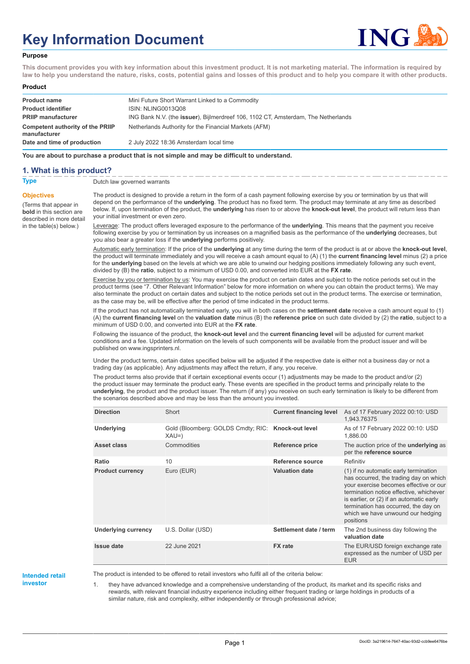# **Key Information Document**



#### **Purpose**

**This document provides you with key information about this investment product. It is not marketing material. The information is required by law to help you understand the nature, risks, costs, potential gains and losses of this product and to help you compare it with other products.**

#### **Product**

| <b>Product name</b>                              | Mini Future Short Warrant Linked to a Commodity                                           |
|--------------------------------------------------|-------------------------------------------------------------------------------------------|
| <b>Product identifier</b>                        | <b>ISIN: NLING0013Q08</b>                                                                 |
| <b>PRIIP manufacturer</b>                        | ING Bank N.V. (the <b>issuer</b> ), Bijlmerdreef 106, 1102 CT, Amsterdam, The Netherlands |
| Competent authority of the PRIIP<br>manufacturer | Netherlands Authority for the Financial Markets (AFM)                                     |
| Date and time of production                      | 2 July 2022 18:36 Amsterdam local time                                                    |

**You are about to purchase a product that is not simple and may be difficult to understand.**

### **1. What is this product?**

**Objectives**

(Terms that appear in **bold** in this section are

in the table(s) below.)

**Type** Dutch law governed warrants

described in more detail The product is designed to provide a return in the form of a cash payment following exercise by you or termination by us that will depend on the performance of the **underlying**. The product has no fixed term. The product may terminate at any time as described below. If, upon termination of the product, the **underlying** has risen to or above the **knock-out level**, the product will return less than your initial investment or even zero.

> Leverage: The product offers leveraged exposure to the performance of the **underlying**. This means that the payment you receive following exercise by you or termination by us increases on a magnified basis as the performance of the **underlying** decreases, but you also bear a greater loss if the **underlying** performs positively.

Automatic early termination: If the price of the **underlying** at any time during the term of the product is at or above the **knock-out level**, the product will terminate immediately and you will receive a cash amount equal to (A) (1) the **current financing level** minus (2) a price for the **underlying** based on the levels at which we are able to unwind our hedging positions immediately following any such event, divided by (B) the **ratio**, subject to a minimum of USD 0.00, and converted into EUR at the **FX rate**.

Exercise by you or termination by us: You may exercise the product on certain dates and subject to the notice periods set out in the product terms (see "7. Other Relevant Information" below for more information on where you can obtain the product terms). We may also terminate the product on certain dates and subject to the notice periods set out in the product terms. The exercise or termination, as the case may be, will be effective after the period of time indicated in the product terms.

If the product has not automatically terminated early, you will in both cases on the **settlement date** receive a cash amount equal to (1) (A) the **current financing level** on the **valuation date** minus (B) the **reference price** on such date divided by (2) the **ratio**, subject to a minimum of USD 0.00, and converted into EUR at the **FX rate**.

Following the issuance of the product, the **knock-out level** and the **current financing level** will be adjusted for current market conditions and a fee. Updated information on the levels of such components will be available from the product issuer and will be published on www.ingsprinters.nl.

Under the product terms, certain dates specified below will be adjusted if the respective date is either not a business day or not a trading day (as applicable). Any adjustments may affect the return, if any, you receive.

The product terms also provide that if certain exceptional events occur (1) adjustments may be made to the product and/or (2) the product issuer may terminate the product early. These events are specified in the product terms and principally relate to the **underlying**, the product and the product issuer. The return (if any) you receive on such early termination is likely to be different from the scenarios described above and may be less than the amount you invested.

| <b>Direction</b>           | Short                                                        | <b>Current financing level</b> | As of 17 February 2022 00:10: USD<br>1.943.76375                                                                                                                                                                                                                                                           |
|----------------------------|--------------------------------------------------------------|--------------------------------|------------------------------------------------------------------------------------------------------------------------------------------------------------------------------------------------------------------------------------------------------------------------------------------------------------|
| <b>Underlying</b>          | Gold (Bloomberg: GOLDS Cmdty; RIC: Knock-out level<br>$XAU=$ |                                | As of 17 February 2022 00:10: USD<br>1,886.00                                                                                                                                                                                                                                                              |
| Asset class                | Commodities                                                  | Reference price                | The auction price of the <b>underlying</b> as<br>per the reference source                                                                                                                                                                                                                                  |
| Ratio                      | 10                                                           | Reference source               | Refinitiv                                                                                                                                                                                                                                                                                                  |
| <b>Product currency</b>    | Euro (EUR)                                                   | <b>Valuation date</b>          | (1) if no automatic early termination<br>has occurred, the trading day on which<br>your exercise becomes effective or our<br>termination notice effective, whichever<br>is earlier, or (2) if an automatic early<br>termination has occurred, the day on<br>which we have unwound our hedging<br>positions |
| <b>Underlying currency</b> | U.S. Dollar (USD)                                            | Settlement date / term         | The 2nd business day following the<br>valuation date                                                                                                                                                                                                                                                       |
| <b>Issue date</b>          | 22 June 2021                                                 | <b>FX</b> rate                 | The EUR/USD foreign exchange rate<br>expressed as the number of USD per<br><b>EUR</b>                                                                                                                                                                                                                      |

#### **Intended retail investor**

The product is intended to be offered to retail investors who fulfil all of the criteria below:

1. they have advanced knowledge and a comprehensive understanding of the product, its market and its specific risks and rewards, with relevant financial industry experience including either frequent trading or large holdings in products of a similar nature, risk and complexity, either independently or through professional advice;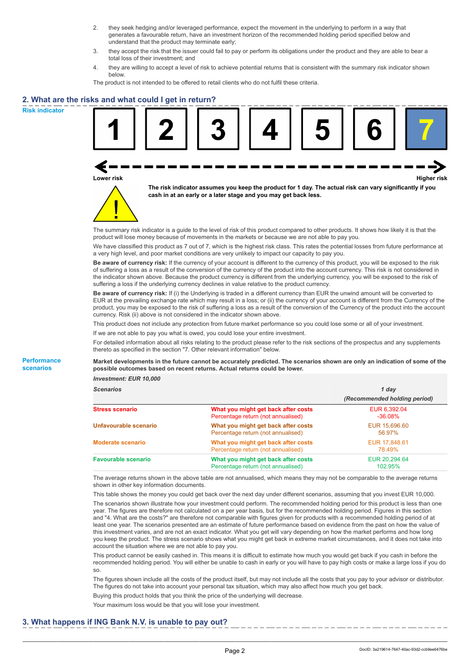- 2. they seek hedging and/or leveraged performance, expect the movement in the underlying to perform in a way that generates a favourable return, have an investment horizon of the recommended holding period specified below and understand that the product may terminate early;
- 3. they accept the risk that the issuer could fail to pay or perform its obligations under the product and they are able to bear a total loss of their investment; and
- 4. they are willing to accept a level of risk to achieve potential returns that is consistent with the summary risk indicator shown below.

The product is not intended to be offered to retail clients who do not fulfil these criteria.

## **2. What are the risks and what could I get in return?**

**Risk indicator**

**Performance scenarios**





**The risk indicator assumes you keep the product for 1 day. The actual risk can vary significantly if you cash in at an early or a later stage and you may get back less.**

The summary risk indicator is a guide to the level of risk of this product compared to other products. It shows how likely it is that the product will lose money because of movements in the markets or because we are not able to pay you.

We have classified this product as 7 out of 7, which is the highest risk class. This rates the potential losses from future performance at a very high level, and poor market conditions are very unlikely to impact our capacity to pay you.

**Be aware of currency risk:** If the currency of your account is different to the currency of this product, you will be exposed to the risk of suffering a loss as a result of the conversion of the currency of the product into the account currency. This risk is not considered in the indicator shown above. Because the product currency is different from the underlying currency, you will be exposed to the risk of suffering a loss if the underlying currency declines in value relative to the product currency.

**Be aware of currency risk:** If (i) the Underlying is traded in a different currency than EUR the unwind amount will be converted to EUR at the prevailing exchange rate which may result in a loss; or (ii) the currency of your account is different from the Currency of the product, you may be exposed to the risk of suffering a loss as a result of the conversion of the Currency of the product into the account currency. Risk (ii) above is not considered in the indicator shown above.

This product does not include any protection from future market performance so you could lose some or all of your investment.

If we are not able to pay you what is owed, you could lose your entire investment.

For detailed information about all risks relating to the product please refer to the risk sections of the prospectus and any supplements thereto as specified in the section "7. Other relevant information" below.

**Market developments in the future cannot be accurately predicted. The scenarios shown are only an indication of some of the possible outcomes based on recent returns. Actual returns could be lower.**

*Investment: EUR 10,000*

| <b>Scenarios</b>           |                                                                           | 1 day<br>(Recommended holding period) |  |
|----------------------------|---------------------------------------------------------------------------|---------------------------------------|--|
|                            |                                                                           |                                       |  |
| <b>Stress scenario</b>     | What you might get back after costs<br>Percentage return (not annualised) | EUR 6,392.04<br>$-36.08\%$            |  |
| Unfavourable scenario      | What you might get back after costs<br>Percentage return (not annualised) | EUR 15,696,60<br>56.97%               |  |
| <b>Moderate scenario</b>   | What you might get back after costs<br>Percentage return (not annualised) | EUR 17,848.61<br>78.49%               |  |
| <b>Favourable scenario</b> | What you might get back after costs<br>Percentage return (not annualised) | EUR 20.294.64<br>102.95%              |  |

The average returns shown in the above table are not annualised, which means they may not be comparable to the average returns shown in other key information documents.

This table shows the money you could get back over the next day under different scenarios, assuming that you invest EUR 10,000. The scenarios shown illustrate how your investment could perform. The recommended holding period for this product is less than one year. The figures are therefore not calculated on a per year basis, but for the recommended holding period. Figures in this section and "4. What are the costs?" are therefore not comparable with figures given for products with a recommended holding period of at least one year. The scenarios presented are an estimate of future performance based on evidence from the past on how the value of this investment varies, and are not an exact indicator. What you get will vary depending on how the market performs and how long you keep the product. The stress scenario shows what you might get back in extreme market circumstances, and it does not take into account the situation where we are not able to pay you.

This product cannot be easily cashed in. This means it is difficult to estimate how much you would get back if you cash in before the recommended holding period. You will either be unable to cash in early or you will have to pay high costs or make a large loss if you do so.

The figures shown include all the costs of the product itself, but may not include all the costs that you pay to your advisor or distributor. The figures do not take into account your personal tax situation, which may also affect how much you get back.

Buying this product holds that you think the price of the underlying will decrease.

Your maximum loss would be that you will lose your investment.

## **3. What happens if ING Bank N.V. is unable to pay out?**